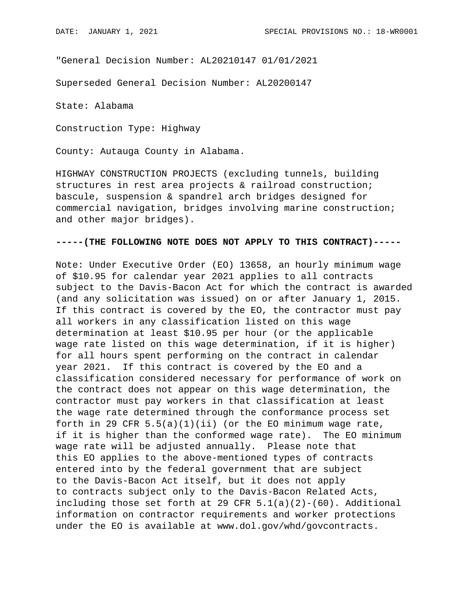"General Decision Number: AL20210147 01/01/2021

Superseded General Decision Number: AL20200147

State: Alabama

Construction Type: Highway

County: Autauga County in Alabama.

HIGHWAY CONSTRUCTION PROJECTS (excluding tunnels, building structures in rest area projects & railroad construction; bascule, suspension & spandrel arch bridges designed for commercial navigation, bridges involving marine construction; and other major bridges).

## **-----(THE FOLLOWING NOTE DOES NOT APPLY TO THIS CONTRACT)-----**

Note: Under Executive Order (EO) 13658, an hourly minimum wage of \$10.95 for calendar year 2021 applies to all contracts subject to the Davis-Bacon Act for which the contract is awarded (and any solicitation was issued) on or after January 1, 2015. If this contract is covered by the EO, the contractor must pay all workers in any classification listed on this wage determination at least \$10.95 per hour (or the applicable wage rate listed on this wage determination, if it is higher) for all hours spent performing on the contract in calendar year 2021. If this contract is covered by the EO and a classification considered necessary for performance of work on the contract does not appear on this wage determination, the contractor must pay workers in that classification at least the wage rate determined through the conformance process set forth in 29 CFR  $5.5(a)(1)(ii)$  (or the EO minimum wage rate, if it is higher than the conformed wage rate). The EO minimum wage rate will be adjusted annually. Please note that this EO applies to the above-mentioned types of contracts entered into by the federal government that are subject to the Davis-Bacon Act itself, but it does not apply to contracts subject only to the Davis-Bacon Related Acts, including those set forth at 29 CFR  $5.1(a)(2)-(60)$ . Additional information on contractor requirements and worker protections under the EO is available at www.dol.gov/whd/govcontracts.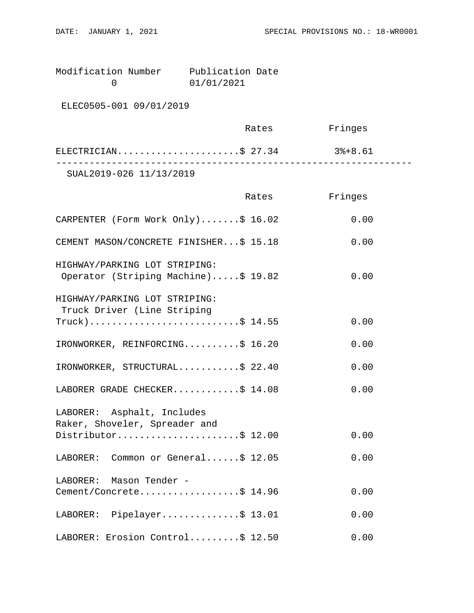| Modification Number | Publication Date |  |
|---------------------|------------------|--|
|                     | 01/01/2021       |  |

ELEC0505-001 09/01/2019

|                         | Rates | Fringes |  |
|-------------------------|-------|---------|--|
| ELECTRICIAN\$ 27.34     |       | 3%+8.61 |  |
| SUAL2019-026 11/13/2019 |       |         |  |

|                                                                      | Rates | Fringes |
|----------------------------------------------------------------------|-------|---------|
| CARPENTER (Form Work Only)\$ 16.02                                   |       | 0.00    |
| CEMENT MASON/CONCRETE FINISHER\$ 15.18                               |       | 0.00    |
| HIGHWAY/PARKING LOT STRIPING:<br>Operator (Striping Machine)\$ 19.82 |       | 0.00    |
| HIGHWAY/PARKING LOT STRIPING:<br>Truck Driver (Line Striping         |       |         |
| $True k$ )\$ 14.55                                                   |       | 0.00    |
| IRONWORKER, REINFORCING\$ 16.20                                      |       | 0.00    |
| IRONWORKER, STRUCTURAL\$ 22.40                                       |       | 0.00    |
| LABORER GRADE CHECKER\$ 14.08                                        |       | 0.00    |
| LABORER: Asphalt, Includes<br>Raker, Shoveler, Spreader and          |       |         |
| Distributor\$ 12.00                                                  |       | 0.00    |
| LABORER: Common or General\$ 12.05                                   |       | 0.00    |
| LABORER: Mason Tender -                                              |       |         |
| Cement/Concrete\$ 14.96                                              |       | 0.00    |
| LABORER: Pipelayer\$ 13.01                                           |       | 0.00    |
| LABORER: Erosion Control\$ 12.50                                     |       | 0.00    |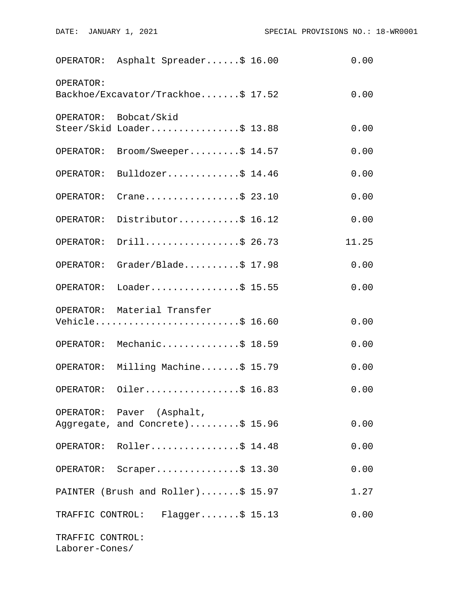|                                    | OPERATOR: Asphalt Spreader\$ 16.00                            | 0.00  |
|------------------------------------|---------------------------------------------------------------|-------|
| OPERATOR:                          | Backhoe/Excavator/Trackhoe\$ 17.52                            | 0.00  |
|                                    | OPERATOR: Bobcat/Skid<br>Steer/Skid Loader\$ 13.88            | 0.00  |
| OPERATOR:                          | Broom/Sweeper\$ 14.57                                         | 0.00  |
|                                    | OPERATOR: Bulldozer\$ 14.46                                   | 0.00  |
| OPERATOR:                          | Crane\$ 23.10                                                 | 0.00  |
|                                    | OPERATOR: Distributor\$ 16.12                                 | 0.00  |
| OPERATOR:                          | Drill\$ 26.73                                                 | 11.25 |
|                                    | OPERATOR: Grader/Blade\$ 17.98                                | 0.00  |
| OPERATOR:                          | Loader\$ 15.55                                                | 0.00  |
|                                    | OPERATOR: Material Transfer<br>Vehicle\$ 16.60                | 0.00  |
|                                    | OPERATOR: Mechanic\$ 18.59                                    | 0.00  |
|                                    | OPERATOR: Milling Machine\$ 15.79                             | 0.00  |
|                                    | OPERATOR: Oiler\$ 16.83                                       | 0.00  |
|                                    | OPERATOR: Paver (Asphalt,<br>Aggregate, and Concrete)\$ 15.96 | 0.00  |
|                                    | OPERATOR: Roller\$ 14.48                                      | 0.00  |
|                                    | OPERATOR: Scraper\$ 13.30                                     | 0.00  |
|                                    | PAINTER (Brush and Roller)\$ 15.97                            | 1.27  |
|                                    | TRAFFIC CONTROL: Flagger\$ 15.13                              | 0.00  |
| TRAFFIC CONTROL:<br>Laborer-Cones/ |                                                               |       |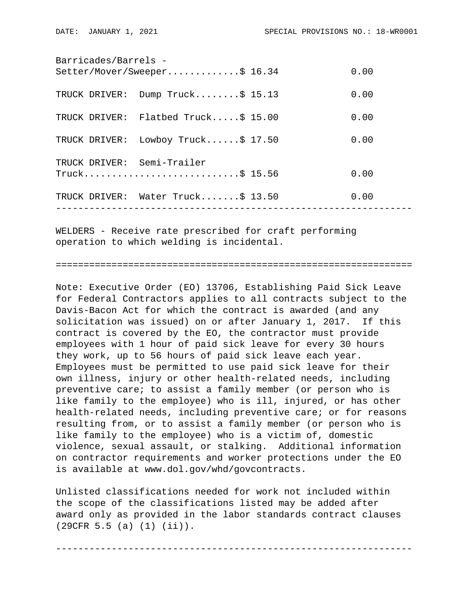| Barricades/Barrels -       | Setter/Mover/Sweeper\$ 16.34        | 0.00 |
|----------------------------|-------------------------------------|------|
| TRUCK DRIVER:              | Dump Truck\$ 15.13                  | 0.00 |
|                            | TRUCK DRIVER: Flatbed Truck\$ 15.00 | 0.00 |
| TRUCK DRIVER:              | Lowboy Truck $$17.50$               | 0.00 |
| TRUCK DRIVER: Semi-Trailer | Truck\$ 15.56                       | 0.00 |
|                            | TRUCK DRIVER: Water Truck\$ 13.50   | 0.00 |
|                            |                                     |      |

WELDERS - Receive rate prescribed for craft performing operation to which welding is incidental.

================================================================

Note: Executive Order (EO) 13706, Establishing Paid Sick Leave for Federal Contractors applies to all contracts subject to the Davis-Bacon Act for which the contract is awarded (and any solicitation was issued) on or after January 1, 2017. If this contract is covered by the EO, the contractor must provide employees with 1 hour of paid sick leave for every 30 hours they work, up to 56 hours of paid sick leave each year. Employees must be permitted to use paid sick leave for their own illness, injury or other health-related needs, including preventive care; to assist a family member (or person who is like family to the employee) who is ill, injured, or has other health-related needs, including preventive care; or for reasons resulting from, or to assist a family member (or person who is like family to the employee) who is a victim of, domestic violence, sexual assault, or stalking. Additional information on contractor requirements and worker protections under the EO is available at www.dol.gov/whd/govcontracts.

Unlisted classifications needed for work not included within the scope of the classifications listed may be added after award only as provided in the labor standards contract clauses (29CFR 5.5 (a) (1) (ii)).

----------------------------------------------------------------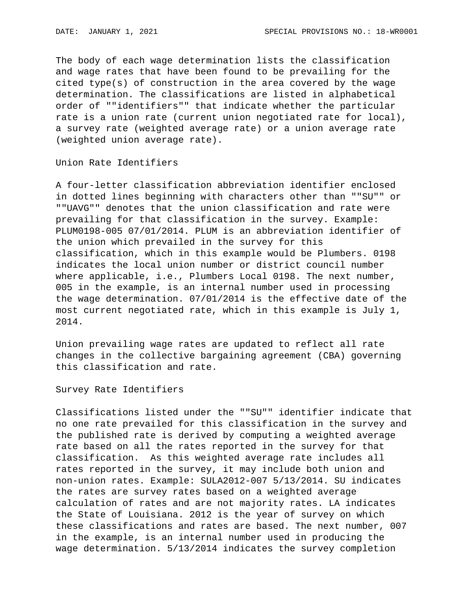The body of each wage determination lists the classification and wage rates that have been found to be prevailing for the cited type(s) of construction in the area covered by the wage determination. The classifications are listed in alphabetical order of ""identifiers"" that indicate whether the particular rate is a union rate (current union negotiated rate for local), a survey rate (weighted average rate) or a union average rate (weighted union average rate).

Union Rate Identifiers

A four-letter classification abbreviation identifier enclosed in dotted lines beginning with characters other than ""SU"" or ""UAVG"" denotes that the union classification and rate were prevailing for that classification in the survey. Example: PLUM0198-005 07/01/2014. PLUM is an abbreviation identifier of the union which prevailed in the survey for this classification, which in this example would be Plumbers. 0198 indicates the local union number or district council number where applicable, i.e., Plumbers Local 0198. The next number, 005 in the example, is an internal number used in processing the wage determination. 07/01/2014 is the effective date of the most current negotiated rate, which in this example is July 1, 2014.

Union prevailing wage rates are updated to reflect all rate changes in the collective bargaining agreement (CBA) governing this classification and rate.

Survey Rate Identifiers

Classifications listed under the ""SU"" identifier indicate that no one rate prevailed for this classification in the survey and the published rate is derived by computing a weighted average rate based on all the rates reported in the survey for that classification. As this weighted average rate includes all rates reported in the survey, it may include both union and non-union rates. Example: SULA2012-007 5/13/2014. SU indicates the rates are survey rates based on a weighted average calculation of rates and are not majority rates. LA indicates the State of Louisiana. 2012 is the year of survey on which these classifications and rates are based. The next number, 007 in the example, is an internal number used in producing the wage determination. 5/13/2014 indicates the survey completion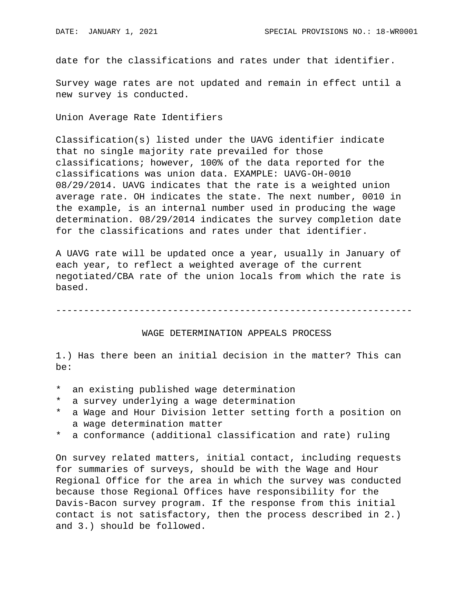date for the classifications and rates under that identifier.

Survey wage rates are not updated and remain in effect until a new survey is conducted.

Union Average Rate Identifiers

Classification(s) listed under the UAVG identifier indicate that no single majority rate prevailed for those classifications; however, 100% of the data reported for the classifications was union data. EXAMPLE: UAVG-OH-0010 08/29/2014. UAVG indicates that the rate is a weighted union average rate. OH indicates the state. The next number, 0010 in the example, is an internal number used in producing the wage determination. 08/29/2014 indicates the survey completion date for the classifications and rates under that identifier.

A UAVG rate will be updated once a year, usually in January of each year, to reflect a weighted average of the current negotiated/CBA rate of the union locals from which the rate is based.

----------------------------------------------------------------

## WAGE DETERMINATION APPEALS PROCESS

1.) Has there been an initial decision in the matter? This can be:

- \* an existing published wage determination
- \* a survey underlying a wage determination
- a Wage and Hour Division letter setting forth a position on a wage determination matter
- \* a conformance (additional classification and rate) ruling

On survey related matters, initial contact, including requests for summaries of surveys, should be with the Wage and Hour Regional Office for the area in which the survey was conducted because those Regional Offices have responsibility for the Davis-Bacon survey program. If the response from this initial contact is not satisfactory, then the process described in 2.) and 3.) should be followed.